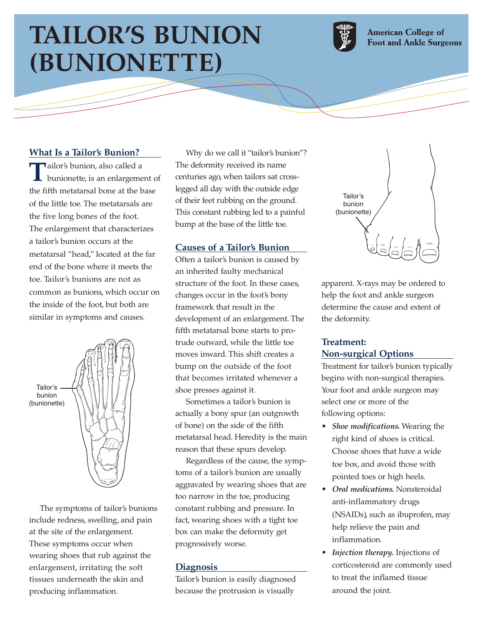# **TAILOR'S BUNION (BUNIONETTE)**



**American College of Foot and Ankle Surgeons** 

# **What Is a Tailor's Bunion?**

ومعتبرين

 $\begin{picture}(20,20) \put(0,0){\line(1,0){10}} \put(15,0){\line(1,0){10}} \put(15,0){\line(1,0){10}} \put(15,0){\line(1,0){10}} \put(15,0){\line(1,0){10}} \put(15,0){\line(1,0){10}} \put(15,0){\line(1,0){10}} \put(15,0){\line(1,0){10}} \put(15,0){\line(1,0){10}} \put(15,0){\line(1,0){10}} \put(15,0){\line(1,0){10}} \put(15,0){\line(1$ 

**T**ailor's bunion, also called a<br>bunionette, is an enlargement of the fifth metatarsal bone at the base of the little toe. The metatarsals are the five long bones of the foot. The enlargement that characterizes a tailor's bunion occurs at the metatarsal "head," located at the far end of the bone where it meets the toe. Tailor's bunions are not as common as bunions, which occur on the inside of the foot, but both are similar in symptoms and causes.



The symptoms of tailor's bunions include redness, swelling, and pain at the site of the enlargement. These symptoms occur when wearing shoes that rub against the enlargement, irritating the soft tissues underneath the skin and producing inflammation.

Why do we call it "tailor's bunion"? The deformity received its name centuries ago, when tailors sat crosslegged all day with the outside edge of their feet rubbing on the ground. This constant rubbing led to a painful bump at the base of the little toe.

## **Causes of a Tailor's Bunion**

Often a tailor's bunion is caused by an inherited faulty mechanical structure of the foot. In these cases, changes occur in the foot's bony framework that result in the development of an enlargement. The fifth metatarsal bone starts to protrude outward, while the little toe moves inward. This shift creates a bump on the outside of the foot that becomes irritated whenever a shoe presses against it.

Sometimes a tailor's bunion is actually a bony spur (an outgrowth of bone) on the side of the fifth metatarsal head. Heredity is the main reason that these spurs develop.

Regardless of the cause, the symptoms of a tailor's bunion are usually aggravated by wearing shoes that are too narrow in the toe, producing constant rubbing and pressure. In fact, wearing shoes with a tight toe box can make the deformity get progressively worse.

#### **Diagnosis**

Tailor's bunion is easily diagnosed because the protrusion is visually



apparent. X-rays may be ordered to help the foot and ankle surgeon determine the cause and extent of the deformity.

## **Treatment: Non-surgical Options**

Treatment for tailor's bunion typically begins with non-surgical therapies. Your foot and ankle surgeon may select one or more of the following options:

- *Shoe modifications.* Wearing the right kind of shoes is critical. Choose shoes that have a wide toe box, and avoid those with pointed toes or high heels.
- *Oral medications.* Nonsteroidal anti-inflammatory drugs (NSAIDs), such as ibuprofen, may help relieve the pain and inflammation.
- *Injection therapy.* Injections of corticosteroid are commonly used to treat the inflamed tissue around the joint.